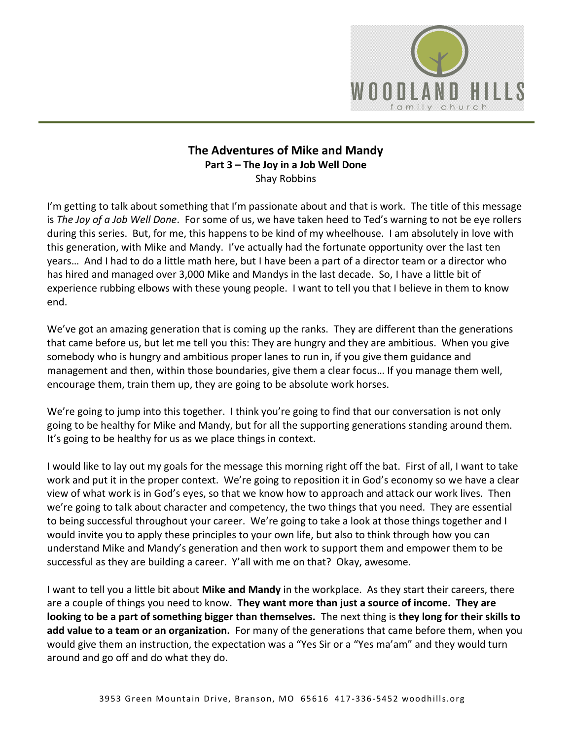

# **The Adventures of Mike and Mandy Part 3 – The Joy in a Job Well Done**  Shay Robbins

I'm getting to talk about something that I'm passionate about and that is work. The title of this message is *The Joy of a Job Well Done*. For some of us, we have taken heed to Ted's warning to not be eye rollers during this series. But, for me, this happens to be kind of my wheelhouse. I am absolutely in love with this generation, with Mike and Mandy. I've actually had the fortunate opportunity over the last ten years… And I had to do a little math here, but I have been a part of a director team or a director who has hired and managed over 3,000 Mike and Mandys in the last decade. So, I have a little bit of experience rubbing elbows with these young people. I want to tell you that I believe in them to know end.

We've got an amazing generation that is coming up the ranks. They are different than the generations that came before us, but let me tell you this: They are hungry and they are ambitious. When you give somebody who is hungry and ambitious proper lanes to run in, if you give them guidance and management and then, within those boundaries, give them a clear focus… If you manage them well, encourage them, train them up, they are going to be absolute work horses.

We're going to jump into this together. I think you're going to find that our conversation is not only going to be healthy for Mike and Mandy, but for all the supporting generations standing around them. It's going to be healthy for us as we place things in context.

I would like to lay out my goals for the message this morning right off the bat. First of all, I want to take work and put it in the proper context. We're going to reposition it in God's economy so we have a clear view of what work is in God's eyes, so that we know how to approach and attack our work lives. Then we're going to talk about character and competency, the two things that you need. They are essential to being successful throughout your career. We're going to take a look at those things together and I would invite you to apply these principles to your own life, but also to think through how you can understand Mike and Mandy's generation and then work to support them and empower them to be successful as they are building a career. Y'all with me on that? Okay, awesome.

I want to tell you a little bit about **Mike and Mandy** in the workplace. As they start their careers, there are a couple of things you need to know. **They want more than just a source of income. They are looking to be a part of something bigger than themselves.** The next thing is **they long for their skills to add value to a team or an organization.** For many of the generations that came before them, when you would give them an instruction, the expectation was a "Yes Sir or a "Yes ma'am" and they would turn around and go off and do what they do.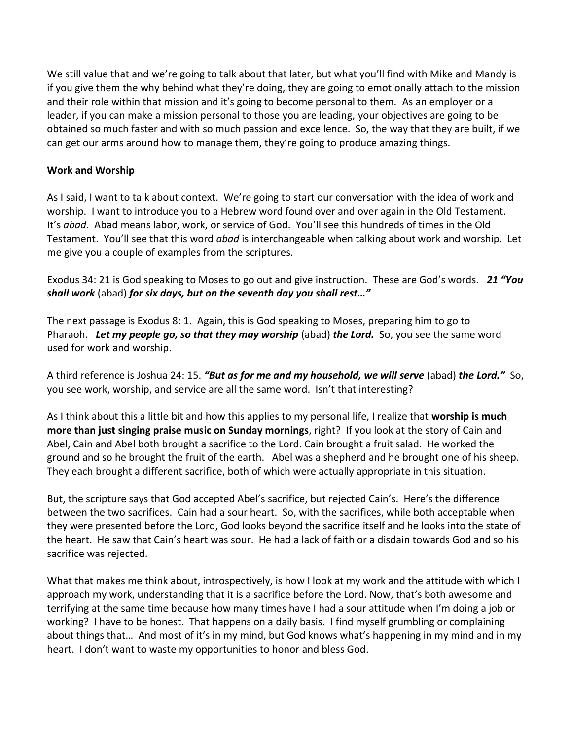We still value that and we're going to talk about that later, but what you'll find with Mike and Mandy is if you give them the why behind what they're doing, they are going to emotionally attach to the mission and their role within that mission and it's going to become personal to them. As an employer or a leader, if you can make a mission personal to those you are leading, your objectives are going to be obtained so much faster and with so much passion and excellence. So, the way that they are built, if we can get our arms around how to manage them, they're going to produce amazing things.

## **Work and Worship**

As I said, I want to talk about context. We're going to start our conversation with the idea of work and worship. I want to introduce you to a Hebrew word found over and over again in the Old Testament. It's *abad*. Abad means labor, work, or service of God. You'll see this hundreds of times in the Old Testament. You'll see that this word *abad* is interchangeable when talking about work and worship. Let me give you a couple of examples from the scriptures.

Exodus 34: 21 is God speaking to Moses to go out and give instruction. These are God's words. *[21](http://www.studylight.org/desk/?q=ex%2034:21&t1=en_niv&sr=1) "You shall work* (abad) *for six days, but on the seventh day you shall rest…"*

The next passage is Exodus 8: 1. Again, this is God speaking to Moses, preparing him to go to Pharaoh. *Let my people go, so that they may worship* (abad) *the Lord.* So, you see the same word used for work and worship.

A third reference is Joshua 24: 15. *"But as for me and my household, we will serve* (abad) *the Lord."* So, you see work, worship, and service are all the same word. Isn't that interesting?

As I think about this a little bit and how this applies to my personal life, I realize that **worship is much more than just singing praise music on Sunday mornings**, right? If you look at the story of Cain and Abel, Cain and Abel both brought a sacrifice to the Lord. Cain brought a fruit salad. He worked the ground and so he brought the fruit of the earth. Abel was a shepherd and he brought one of his sheep. They each brought a different sacrifice, both of which were actually appropriate in this situation.

But, the scripture says that God accepted Abel's sacrifice, but rejected Cain's. Here's the difference between the two sacrifices. Cain had a sour heart. So, with the sacrifices, while both acceptable when they were presented before the Lord, God looks beyond the sacrifice itself and he looks into the state of the heart. He saw that Cain's heart was sour. He had a lack of faith or a disdain towards God and so his sacrifice was rejected.

What that makes me think about, introspectively, is how I look at my work and the attitude with which I approach my work, understanding that it is a sacrifice before the Lord. Now, that's both awesome and terrifying at the same time because how many times have I had a sour attitude when I'm doing a job or working? I have to be honest. That happens on a daily basis. I find myself grumbling or complaining about things that… And most of it's in my mind, but God knows what's happening in my mind and in my heart. I don't want to waste my opportunities to honor and bless God.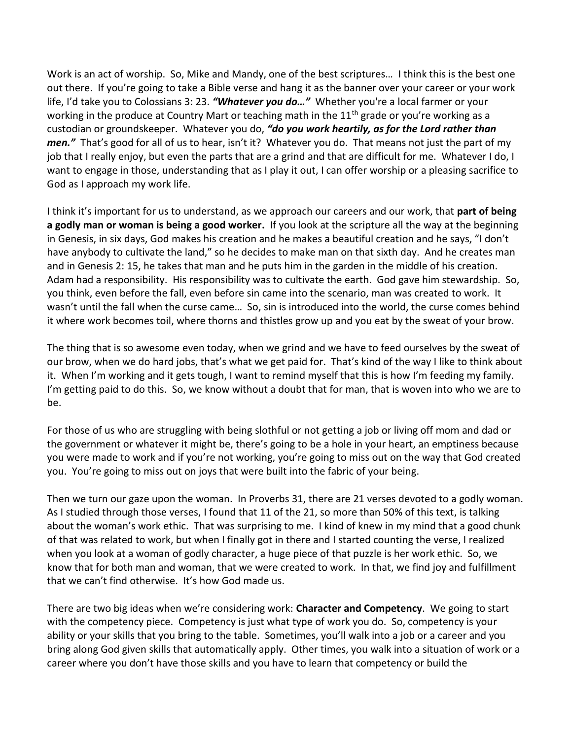Work is an act of worship. So, Mike and Mandy, one of the best scriptures… I think this is the best one out there. If you're going to take a Bible verse and hang it as the banner over your career or your work life, I'd take you to Colossians 3: 23. *"Whatever you do…"* Whether you're a local farmer or your working in the produce at Country Mart or teaching math in the  $11<sup>th</sup>$  grade or you're working as a custodian or groundskeeper. Whatever you do, *"do you work heartily, as for the Lord rather than men."* That's good for all of us to hear, isn't it? Whatever you do. That means not just the part of my job that I really enjoy, but even the parts that are a grind and that are difficult for me. Whatever I do, I want to engage in those, understanding that as I play it out, I can offer worship or a pleasing sacrifice to God as I approach my work life.

I think it's important for us to understand, as we approach our careers and our work, that **part of being a godly man or woman is being a good worker.** If you look at the scripture all the way at the beginning in Genesis, in six days, God makes his creation and he makes a beautiful creation and he says, "I don't have anybody to cultivate the land," so he decides to make man on that sixth day. And he creates man and in Genesis 2: 15, he takes that man and he puts him in the garden in the middle of his creation. Adam had a responsibility. His responsibility was to cultivate the earth. God gave him stewardship. So, you think, even before the fall, even before sin came into the scenario, man was created to work. It wasn't until the fall when the curse came… So, sin is introduced into the world, the curse comes behind it where work becomes toil, where thorns and thistles grow up and you eat by the sweat of your brow.

The thing that is so awesome even today, when we grind and we have to feed ourselves by the sweat of our brow, when we do hard jobs, that's what we get paid for. That's kind of the way I like to think about it. When I'm working and it gets tough, I want to remind myself that this is how I'm feeding my family. I'm getting paid to do this. So, we know without a doubt that for man, that is woven into who we are to be.

For those of us who are struggling with being slothful or not getting a job or living off mom and dad or the government or whatever it might be, there's going to be a hole in your heart, an emptiness because you were made to work and if you're not working, you're going to miss out on the way that God created you. You're going to miss out on joys that were built into the fabric of your being.

Then we turn our gaze upon the woman. In Proverbs 31, there are 21 verses devoted to a godly woman. As I studied through those verses, I found that 11 of the 21, so more than 50% of this text, is talking about the woman's work ethic. That was surprising to me. I kind of knew in my mind that a good chunk of that was related to work, but when I finally got in there and I started counting the verse, I realized when you look at a woman of godly character, a huge piece of that puzzle is her work ethic. So, we know that for both man and woman, that we were created to work. In that, we find joy and fulfillment that we can't find otherwise. It's how God made us.

There are two big ideas when we're considering work: **Character and Competency**. We going to start with the competency piece. Competency is just what type of work you do. So, competency is your ability or your skills that you bring to the table. Sometimes, you'll walk into a job or a career and you bring along God given skills that automatically apply. Other times, you walk into a situation of work or a career where you don't have those skills and you have to learn that competency or build the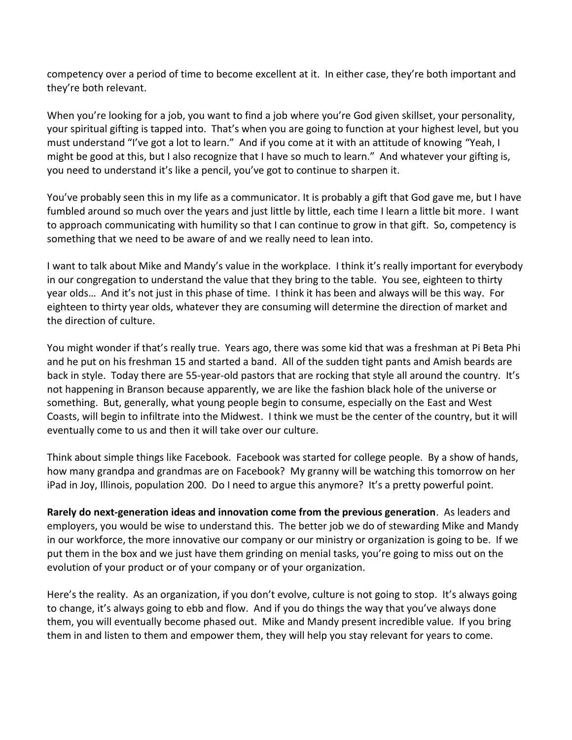competency over a period of time to become excellent at it. In either case, they're both important and they're both relevant.

When you're looking for a job, you want to find a job where you're God given skillset, your personality, your spiritual gifting is tapped into. That's when you are going to function at your highest level, but you must understand "I've got a lot to learn." And if you come at it with an attitude of knowing "Yeah, I might be good at this, but I also recognize that I have so much to learn." And whatever your gifting is, you need to understand it's like a pencil, you've got to continue to sharpen it.

You've probably seen this in my life as a communicator. It is probably a gift that God gave me, but I have fumbled around so much over the years and just little by little, each time I learn a little bit more. I want to approach communicating with humility so that I can continue to grow in that gift. So, competency is something that we need to be aware of and we really need to lean into.

I want to talk about Mike and Mandy's value in the workplace. I think it's really important for everybody in our congregation to understand the value that they bring to the table. You see, eighteen to thirty year olds… And it's not just in this phase of time. I think it has been and always will be this way. For eighteen to thirty year olds, whatever they are consuming will determine the direction of market and the direction of culture.

You might wonder if that's really true. Years ago, there was some kid that was a freshman at Pi Beta Phi and he put on his freshman 15 and started a band. All of the sudden tight pants and Amish beards are back in style. Today there are 55-year-old pastors that are rocking that style all around the country. It's not happening in Branson because apparently, we are like the fashion black hole of the universe or something. But, generally, what young people begin to consume, especially on the East and West Coasts, will begin to infiltrate into the Midwest. I think we must be the center of the country, but it will eventually come to us and then it will take over our culture.

Think about simple things like Facebook. Facebook was started for college people. By a show of hands, how many grandpa and grandmas are on Facebook? My granny will be watching this tomorrow on her iPad in Joy, Illinois, population 200. Do I need to argue this anymore? It's a pretty powerful point.

**Rarely do next-generation ideas and innovation come from the previous generation**. As leaders and employers, you would be wise to understand this. The better job we do of stewarding Mike and Mandy in our workforce, the more innovative our company or our ministry or organization is going to be. If we put them in the box and we just have them grinding on menial tasks, you're going to miss out on the evolution of your product or of your company or of your organization.

Here's the reality. As an organization, if you don't evolve, culture is not going to stop. It's always going to change, it's always going to ebb and flow. And if you do things the way that you've always done them, you will eventually become phased out. Mike and Mandy present incredible value. If you bring them in and listen to them and empower them, they will help you stay relevant for years to come.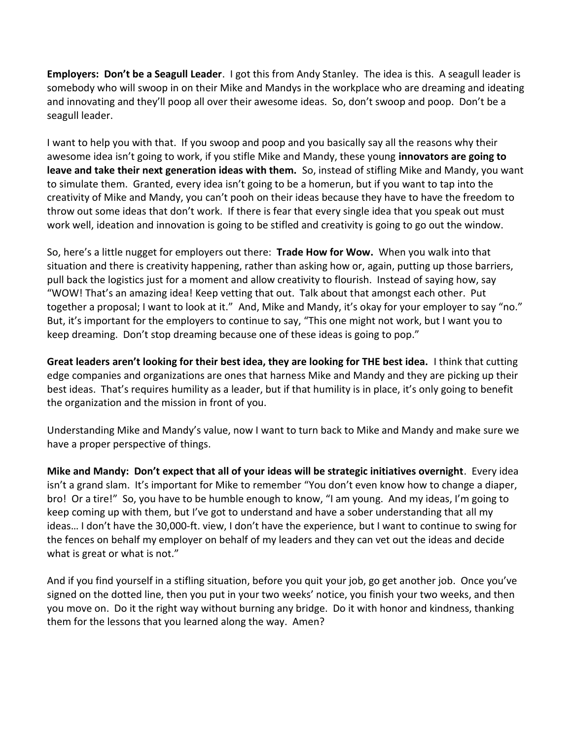**Employers: Don't be a Seagull Leader**. I got this from Andy Stanley. The idea is this. A seagull leader is somebody who will swoop in on their Mike and Mandys in the workplace who are dreaming and ideating and innovating and they'll poop all over their awesome ideas. So, don't swoop and poop. Don't be a seagull leader.

I want to help you with that. If you swoop and poop and you basically say all the reasons why their awesome idea isn't going to work, if you stifle Mike and Mandy, these young **innovators are going to leave and take their next generation ideas with them.** So, instead of stifling Mike and Mandy, you want to simulate them. Granted, every idea isn't going to be a homerun, but if you want to tap into the creativity of Mike and Mandy, you can't pooh on their ideas because they have to have the freedom to throw out some ideas that don't work. If there is fear that every single idea that you speak out must work well, ideation and innovation is going to be stifled and creativity is going to go out the window.

So, here's a little nugget for employers out there: **Trade How for Wow.** When you walk into that situation and there is creativity happening, rather than asking how or, again, putting up those barriers, pull back the logistics just for a moment and allow creativity to flourish. Instead of saying how, say "WOW! That's an amazing idea! Keep vetting that out. Talk about that amongst each other. Put together a proposal; I want to look at it." And, Mike and Mandy, it's okay for your employer to say "no." But, it's important for the employers to continue to say, "This one might not work, but I want you to keep dreaming. Don't stop dreaming because one of these ideas is going to pop."

**Great leaders aren't looking for their best idea, they are looking for THE best idea.** I think that cutting edge companies and organizations are ones that harness Mike and Mandy and they are picking up their best ideas. That's requires humility as a leader, but if that humility is in place, it's only going to benefit the organization and the mission in front of you.

Understanding Mike and Mandy's value, now I want to turn back to Mike and Mandy and make sure we have a proper perspective of things.

**Mike and Mandy: Don't expect that all of your ideas will be strategic initiatives overnight**. Every idea isn't a grand slam. It's important for Mike to remember "You don't even know how to change a diaper, bro! Or a tire!" So, you have to be humble enough to know, "I am young. And my ideas, I'm going to keep coming up with them, but I've got to understand and have a sober understanding that all my ideas… I don't have the 30,000-ft. view, I don't have the experience, but I want to continue to swing for the fences on behalf my employer on behalf of my leaders and they can vet out the ideas and decide what is great or what is not."

And if you find yourself in a stifling situation, before you quit your job, go get another job. Once you've signed on the dotted line, then you put in your two weeks' notice, you finish your two weeks, and then you move on. Do it the right way without burning any bridge. Do it with honor and kindness, thanking them for the lessons that you learned along the way. Amen?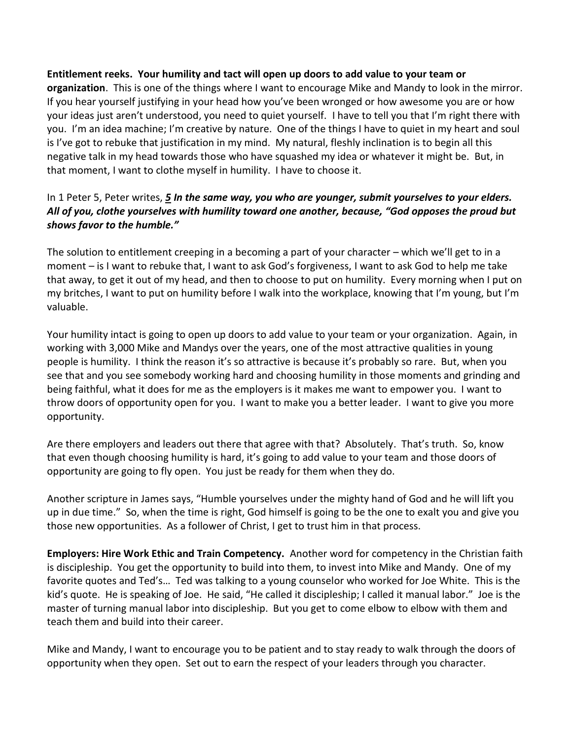### **Entitlement reeks. Your humility and tact will open up doors to add value to your team or**

**organization**. This is one of the things where I want to encourage Mike and Mandy to look in the mirror. If you hear yourself justifying in your head how you've been wronged or how awesome you are or how your ideas just aren't understood, you need to quiet yourself. I have to tell you that I'm right there with you. I'm an idea machine; I'm creative by nature. One of the things I have to quiet in my heart and soul is I've got to rebuke that justification in my mind. My natural, fleshly inclination is to begin all this negative talk in my head towards those who have squashed my idea or whatever it might be. But, in that moment, I want to clothe myself in humility. I have to choose it.

## In 1 Peter 5, Peter writes, *[5](http://www.studylight.org/desk/?q=1pe%205:5&t1=en_niv&sr=1) In the same way, you who are younger, submit yourselves to your elders. All of you, clothe yourselves with humility toward one another, because, "God opposes the proud but shows favor to the humble."*

The solution to entitlement creeping in a becoming a part of your character – which we'll get to in a moment – is I want to rebuke that, I want to ask God's forgiveness, I want to ask God to help me take that away, to get it out of my head, and then to choose to put on humility. Every morning when I put on my britches, I want to put on humility before I walk into the workplace, knowing that I'm young, but I'm valuable.

Your humility intact is going to open up doors to add value to your team or your organization. Again, in working with 3,000 Mike and Mandys over the years, one of the most attractive qualities in young people is humility. I think the reason it's so attractive is because it's probably so rare. But, when you see that and you see somebody working hard and choosing humility in those moments and grinding and being faithful, what it does for me as the employers is it makes me want to empower you. I want to throw doors of opportunity open for you. I want to make you a better leader. I want to give you more opportunity.

Are there employers and leaders out there that agree with that? Absolutely. That's truth. So, know that even though choosing humility is hard, it's going to add value to your team and those doors of opportunity are going to fly open. You just be ready for them when they do.

Another scripture in James says, "Humble yourselves under the mighty hand of God and he will lift you up in due time." So, when the time is right, God himself is going to be the one to exalt you and give you those new opportunities. As a follower of Christ, I get to trust him in that process.

**Employers: Hire Work Ethic and Train Competency.** Another word for competency in the Christian faith is discipleship. You get the opportunity to build into them, to invest into Mike and Mandy. One of my favorite quotes and Ted's… Ted was talking to a young counselor who worked for Joe White. This is the kid's quote. He is speaking of Joe. He said, "He called it discipleship; I called it manual labor." Joe is the master of turning manual labor into discipleship. But you get to come elbow to elbow with them and teach them and build into their career.

Mike and Mandy, I want to encourage you to be patient and to stay ready to walk through the doors of opportunity when they open. Set out to earn the respect of your leaders through you character.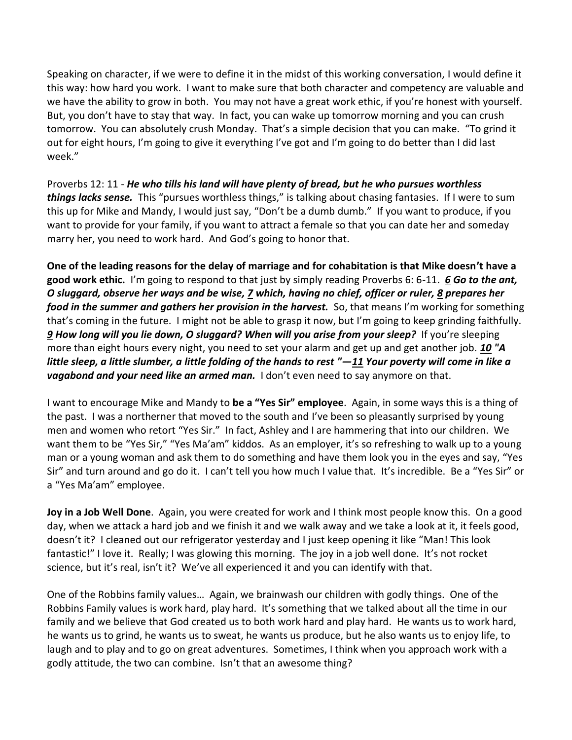Speaking on character, if we were to define it in the midst of this working conversation, I would define it this way: how hard you work. I want to make sure that both character and competency are valuable and we have the ability to grow in both. You may not have a great work ethic, if you're honest with yourself. But, you don't have to stay that way. In fact, you can wake up tomorrow morning and you can crush tomorrow. You can absolutely crush Monday. That's a simple decision that you can make. "To grind it out for eight hours, I'm going to give it everything I've got and I'm going to do better than I did last week."

Proverbs 12: 11 - *He who tills his land will have plenty of bread, but he who pursues worthless things lacks sense.* This "pursues worthless things," is talking about chasing fantasies. If I were to sum this up for Mike and Mandy, I would just say, "Don't be a dumb dumb." If you want to produce, if you want to provide for your family, if you want to attract a female so that you can date her and someday marry her, you need to work hard. And God's going to honor that.

**One of the leading reasons for the delay of marriage and for cohabitation is that Mike doesn't have a good work ethic.** I'm going to respond to that just by simply reading Proverbs 6: 6-11. *[6](http://www.studylight.org/desk/?q=pr%206:6&t1=en_nas&sr=1) Go to the ant, O sluggard, observe her ways and be wise[, 7](http://www.studylight.org/desk/?q=pr%206:7&t1=en_nas&sr=1) which, having no chief, officer or ruler, [8](http://www.studylight.org/desk/?q=pr%206:8&t1=en_nas&sr=1) prepares her food in the summer and gathers her provision in the harvest.* So, that means I'm working for something that's coming in the future. I might not be able to grasp it now, but I'm going to keep grinding faithfully. *[9](http://www.studylight.org/desk/?q=pr%206:9&t1=en_nas&sr=1) How long will you lie down, O sluggard? When will you arise from your sleep?*If you're sleeping more than eight hours every night, you need to set your alarm and get up and get another job. *[10](http://www.studylight.org/desk/?q=pr%206:10&t1=en_nas&sr=1) "A little sleep, a little slumber, a little folding of the hands to rest "—[11](http://www.studylight.org/desk/?q=pr%206:11&t1=en_nas&sr=1) Your poverty will come in like a vagabond and your need like an armed man.* I don't even need to say anymore on that.

I want to encourage Mike and Mandy to **be a "Yes Sir" employee**. Again, in some ways this is a thing of the past. I was a northerner that moved to the south and I've been so pleasantly surprised by young men and women who retort "Yes Sir." In fact, Ashley and I are hammering that into our children. We want them to be "Yes Sir," "Yes Ma'am" kiddos. As an employer, it's so refreshing to walk up to a young man or a young woman and ask them to do something and have them look you in the eyes and say, "Yes Sir" and turn around and go do it. I can't tell you how much I value that. It's incredible. Be a "Yes Sir" or a "Yes Ma'am" employee.

**Joy in a Job Well Done**. Again, you were created for work and I think most people know this. On a good day, when we attack a hard job and we finish it and we walk away and we take a look at it, it feels good, doesn't it? I cleaned out our refrigerator yesterday and I just keep opening it like "Man! This look fantastic!" I love it. Really; I was glowing this morning. The joy in a job well done. It's not rocket science, but it's real, isn't it? We've all experienced it and you can identify with that.

One of the Robbins family values… Again, we brainwash our children with godly things. One of the Robbins Family values is work hard, play hard. It's something that we talked about all the time in our family and we believe that God created us to both work hard and play hard. He wants us to work hard, he wants us to grind, he wants us to sweat, he wants us produce, but he also wants us to enjoy life, to laugh and to play and to go on great adventures. Sometimes, I think when you approach work with a godly attitude, the two can combine. Isn't that an awesome thing?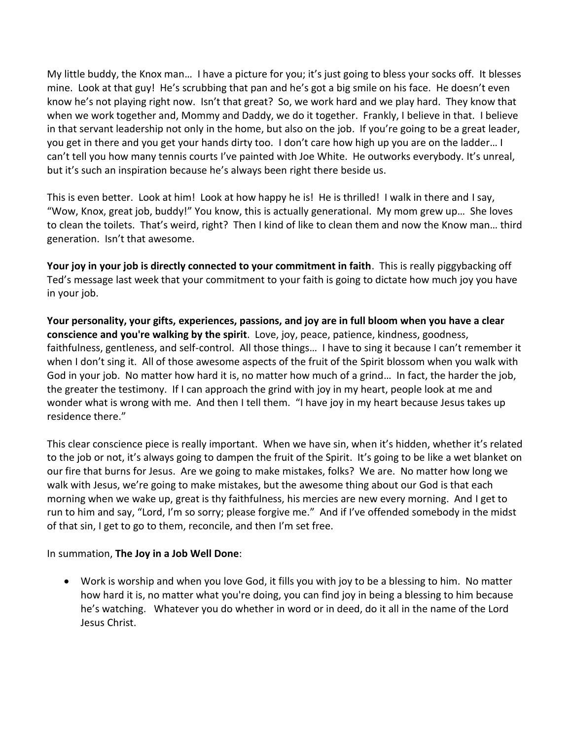My little buddy, the Knox man… I have a picture for you; it's just going to bless your socks off. It blesses mine. Look at that guy! He's scrubbing that pan and he's got a big smile on his face. He doesn't even know he's not playing right now. Isn't that great? So, we work hard and we play hard. They know that when we work together and, Mommy and Daddy, we do it together. Frankly, I believe in that. I believe in that servant leadership not only in the home, but also on the job. If you're going to be a great leader, you get in there and you get your hands dirty too. I don't care how high up you are on the ladder… I can't tell you how many tennis courts I've painted with Joe White. He outworks everybody. It's unreal, but it's such an inspiration because he's always been right there beside us.

This is even better. Look at him! Look at how happy he is! He is thrilled! I walk in there and I say, "Wow, Knox, great job, buddy!" You know, this is actually generational. My mom grew up… She loves to clean the toilets. That's weird, right? Then I kind of like to clean them and now the Know man… third generation. Isn't that awesome.

**Your joy in your job is directly connected to your commitment in faith**. This is really piggybacking off Ted's message last week that your commitment to your faith is going to dictate how much joy you have in your job.

**Your personality, your gifts, experiences, passions, and joy are in full bloom when you have a clear conscience and you're walking by the spirit**. Love, joy, peace, patience, kindness, goodness, faithfulness, gentleness, and self-control. All those things… I have to sing it because I can't remember it when I don't sing it. All of those awesome aspects of the fruit of the Spirit blossom when you walk with God in your job. No matter how hard it is, no matter how much of a grind… In fact, the harder the job, the greater the testimony. If I can approach the grind with joy in my heart, people look at me and wonder what is wrong with me. And then I tell them. "I have joy in my heart because Jesus takes up residence there."

This clear conscience piece is really important. When we have sin, when it's hidden, whether it's related to the job or not, it's always going to dampen the fruit of the Spirit. It's going to be like a wet blanket on our fire that burns for Jesus. Are we going to make mistakes, folks? We are. No matter how long we walk with Jesus, we're going to make mistakes, but the awesome thing about our God is that each morning when we wake up, great is thy faithfulness, his mercies are new every morning. And I get to run to him and say, "Lord, I'm so sorry; please forgive me." And if I've offended somebody in the midst of that sin, I get to go to them, reconcile, and then I'm set free.

### In summation, **The Joy in a Job Well Done**:

• Work is worship and when you love God, it fills you with joy to be a blessing to him. No matter how hard it is, no matter what you're doing, you can find joy in being a blessing to him because he's watching. Whatever you do whether in word or in deed, do it all in the name of the Lord Jesus Christ.